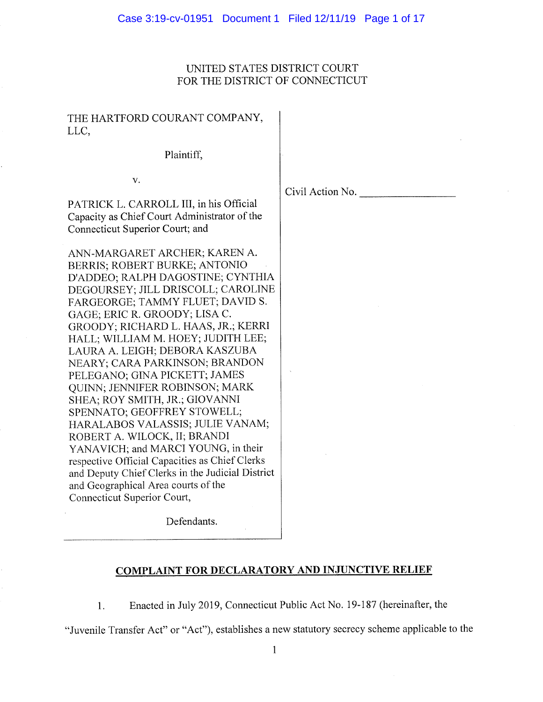### UNITED STATES DISTRICT COURT FOR THE DISTRICT OF CONNECTICUT

## THE HARTFORD COURANT COMPANY, LLC,

Plaintiff,

V.

Civil Action No.

PATRICK L. CARROLL III, in his Official <sup>C</sup>apacity as Chief Court Administrator of the Connecticut Superior Court; and

ANN-MARGARET ARCHER; KAREN A. BERRIS; ROBERT BURKE; ANTONIO D'ADDEO; RALPH DAGOSTINE; CYNTHIA DEGOURSEY; JILL DRISCOLL; CAROLINE FARGEORGE; TAMMY FLUET; DAVID S. GAGE; ERIC R. GROODY; LISA C. GROODY; RICHARD L. HAAS, JR.; KERRI HALL; WILLIAM M. HOEY; JUDITH LEE; LAURA A. LEIGH; DEBORA KASZUBA NEARY; CARA PARKINSON; BRANDON PELEGANO; GINA PICKETT; JAMES QUINN; JENNIFER ROBINSON; MARK SHEA; ROY SMITH, JR.; GIOVANNI SPENNATO; GEOFFREY STOWELL; HARALABOS VALASSIS; JULIE VANAM; ROBERT A. WILOCK, II; BRANDI YANAVICH; and MARCI YOUNG, in their <sup>r</sup>espective Official Capacities as Chief Clerks <sup>a</sup>nd Deputy Chief Clerks in the Judicial District <sup>a</sup>nd Geographical Area courts of the Connecticut Superior Court,

Defendants.

# COMPLAINT FOR DECLARATORY AND INJUNCTIVE RELIEF

<sup>1</sup>. Enacted in July 2019, Connecticut Public Act No. 19-187 (hereinafter, the

"Juvenile Transfer Act" or "Act"), establishes a new statutory secrecy scheme applicable to the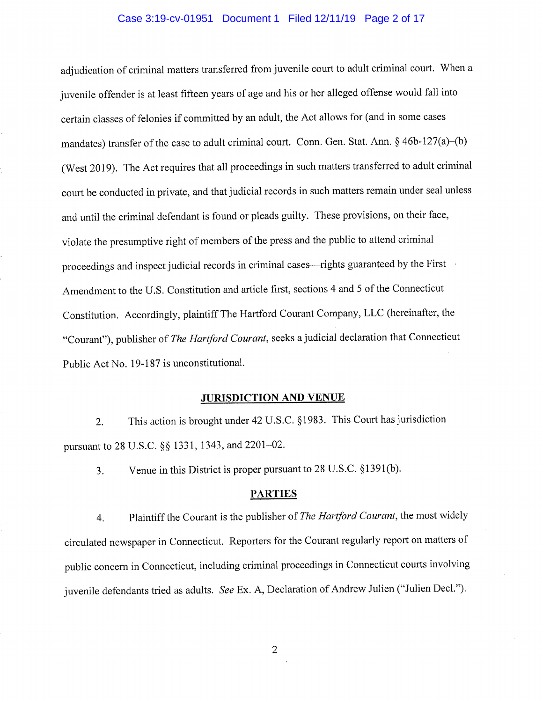#### Case 3:19-cv-01951 Document 1 Filed 12/11/19 Page 2 of 17

adjudication of criminal matters transferred from juvenile court to adult criminal court. When <sup>a</sup> juvenile offender is at least fifteen years of age and his or her alleged offense would fall into <sup>c</sup>ertain classes of felonies if committed by an adult, the Act allows for (and in some cases mandates) transfer of the case to adult criminal court. Conn. Gen. Stat. Ann. § 46b-127(a)–(b) (West 2019). The Act requires that all proceedings in such matters transferred to adult criminal <sup>c</sup>ourt be conducted in private, and that judicial records in such matters remain under seal unless <sup>a</sup>nd until the criminal defendant is found or pleads guilty. These provisions, on their face, <sup>v</sup>iolate the presumptive right of members of the press and the public to attend criminal <sup>p</sup>roceedings and inspect judicial records in criminal cases—rights guaranteed by the First <sup>A</sup>mendment to the U.S. Constitution and article first, sections 4 and 5 of the Connecticut <sup>C</sup>onstitution. Accordingly, plaintiff The Hartford Courant Company, LLC (hereinafter, the "Courant"), publisher of The Hartford Courant, seeks a judicial declaration that Connecticut <sup>P</sup>ublic Act No. 19-187 is unconstitutional.

#### JURISDICTION AND VENUE

<sup>2</sup>. This action is brought under 42 U.S.C. §1983. This Court has jurisdiction <sup>p</sup>ursuant to 28 U.S.C. §§ 1331, 1343, and 2201-02.

3. Venue in this District is proper pursuant to 28 U.S.C. §1391(b).

### **PARTIES**

4. Plaintiff the Courant is the publisher of The Hartford Courant, the most widely <sup>c</sup>irculated newspaper in Connecticut. Reporters for the Courant regularly report on matters of <sup>p</sup>ublic concern in Connecticut, including criminal proceedings in Connecticut courts involving juvenile defendants tried as adults. See Ex. A, Declaration of Andrew Julien ("Julien Decl.").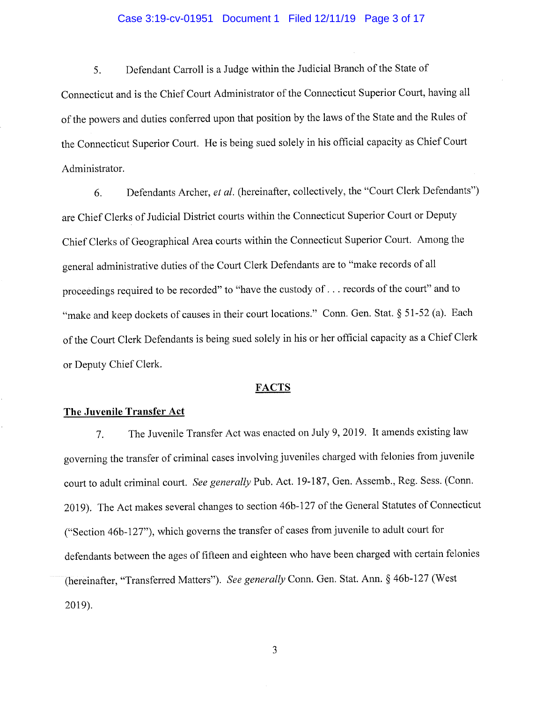#### Case 3:19-cv-01951 Document 1 Filed 12/11/19 Page 3 of 17

5. Defendant Carroll is a Judge within the Judicial Branch of the State of <sup>C</sup>onnecticut and is the Chief Court Administrator of the Connecticut Superior Court, having all <sup>o</sup>f the powers and duties conferred upon that position by the laws of the State and the Rules of <sup>t</sup>he Connecticut Superior Court. He is being sued solely in his official capacity as Chief Court Administrator.

6. Defendants Archer, et al. (hereinafter, collectively, the "Court Clerk Defendants") <sup>a</sup>re Chief Clerks of Judicial District courts within the Connecticut Superior Court or Deputy <sup>C</sup>hief Clerks of Geographical Area courts within the Connecticut Superior Court. Among the <sup>g</sup>eneral administrative duties of the Court Clerk Defendants are to "make records of all <sup>p</sup>roceedings required to be recorded" to "have the custody of . . . records of the court" and to "make and keep dockets of causes in their court locations." Conn. Gen. Stat. § 51-52 (a). Each <sup>o</sup>f the Court Clerk Defendants is being sued solely in his or her official capacity as <sup>a</sup>Chief Clerk or Deputy Chief Clerk.

#### FACTS

### The Juvenile Transfer Act

<sup>7</sup>. The Juvenile Transfer Act was enacted on July 9, 2019. It amends existing law <sup>g</sup>overning the transfer of criminal cases involving juveniles charged with felonies from juvenile <sup>c</sup>ourt to adult criminal court. See generally Pub. Act. 19-187, Gen. Assemb., Reg. Sess. (Conn. <sup>2</sup>019). The Act makes several changes to section 46b-127 of the General Statutes of Connecticut ("Section 46b-127"), which governs the transfer of cases from juvenile to adult court for <sup>d</sup>efendants between the ages of fifteen and eighteen who have been charged with certain felonies (hereinafter, "Transferred Matters"). See generally Conn. Gen. Stat. Ann. § 46b-127 (West 2019).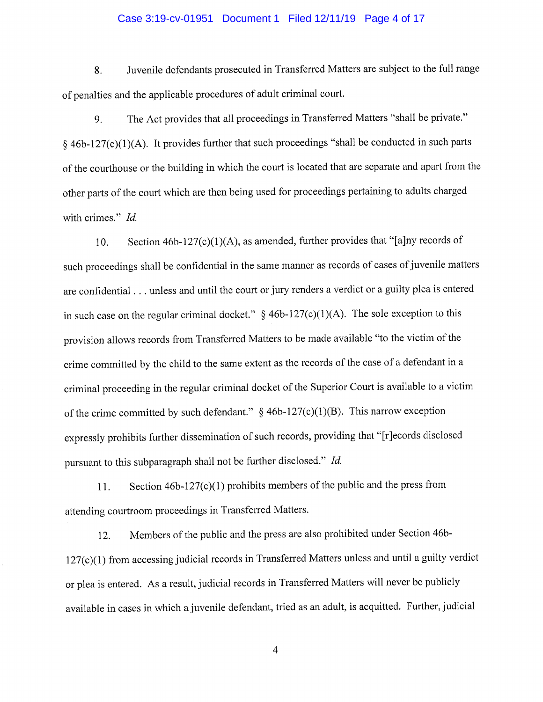#### Case 3:19-cv-01951 Document 1 Filed 12/11/19 Page 4 of 17

8. Juvenile defendants prosecuted in Transferred Matters are subject to the full range <sup>o</sup>f penalties and the applicable procedures of adult criminal court.

<sup>9</sup>. The Act provides that all proceedings in Transferred Matters "shall be private."  $§$  46b-127(c)(1)(A). It provides further that such proceedings "shall be conducted in such parts <sup>o</sup>f the courthouse or the building in which the court is located that are separate and apart from the <sup>o</sup>ther parts of the court which are then being used for proceedings pertaining to adults charged with crimes." *Id.* 

<sup>1</sup>0. Section 46b-127(c)(1)(A), as amended, further provides that "[a]ny records of <sup>s</sup>uch proceedings shall be confidential in the same manner as records of cases of juvenile matters <sup>a</sup>re confidential . . . unless and until the court or jury renders a verdict or <sup>a</sup>guilty plea is entered in such case on the regular criminal docket."  $§$  46b-127(c)(1)(A). The sole exception to this <sup>p</sup>rovision allows records from Transferred Matters to be made available "to the victim of the <sup>c</sup>rime committed by the child to the same extent as the records of the case of a defendant in <sup>a</sup> <sup>c</sup>riminal proceeding in the regular criminal docket of the Superior Court is available to a victim of the crime committed by such defendant."  $§$  46b-127(c)(1)(B). This narrow exception <sup>e</sup>xpressly prohibits further dissemination of such records, providing that "[r]ecords disclosed <sup>p</sup>ursuant to this subparagraph shall not be further disclosed." Id.

11. Section  $46b-127(c)(1)$  prohibits members of the public and the press from <sup>a</sup>ttending courtroom proceedings in Transferred Matters.

<sup>1</sup>2. Members of the public and the press are also prohibited under Section 46b-127(c)(1) from accessing judicial records in Transferred Matters unless and until a guilty verdict or plea is entered. As a result, judicial records in Transferred Matters will never be publicly <sup>a</sup>vailable in cases in which a juvenile defendant, tried as an adult, is acquitted. Further, judicial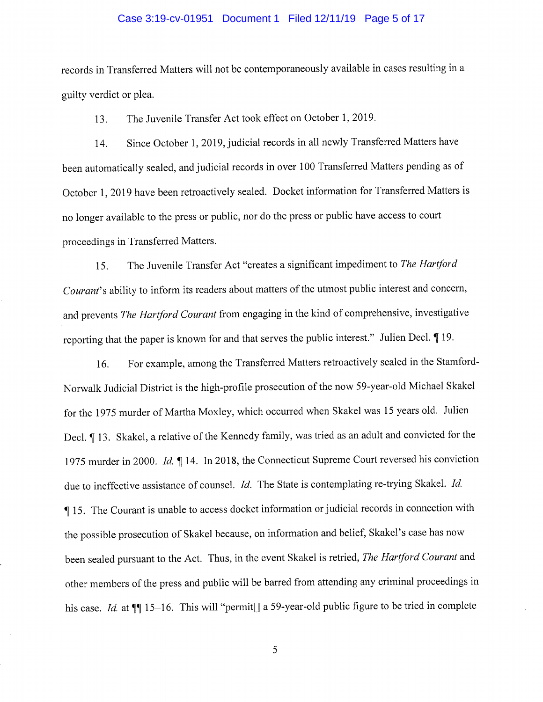#### Case 3:19-cv-01951 Document 1 Filed 12/11/19 Page 5 of 17

records in Transferred Matters will not be contemporaneously available in cases resulting in <sup>a</sup> guilty verdict or plea.

13. The Juvenile Transfer Act took effect on October 1, 2019.

<sup>1</sup>4. Since October 1, 2019, judicial records in all newly Transferred Matters have <sup>b</sup>een automatically sealed, and judicial records in over 100 Transferred Matters pending as of <sup>O</sup>ctober 1, 2019 have been retroactively sealed. Docket information for Transferred Matters is <sup>n</sup><sup>o</sup>longer available to the press or public, nor do the press or public have access to court <sup>p</sup>roceedings in Transferred Matters.

15. The Juvenile Transfer Act "creates a significant impediment to The Hartford <sup>C</sup>ourant's ability to inform its readers about matters of the utmost public interest and concern, <sup>a</sup>nd prevents The Hartford Courant from engaging in the kind of comprehensive, investigative <sup>r</sup>eporting that the paper is known for and that serves the public interest." Julien Decl. ¶ 19.

<sup>1</sup>6. For example, among the Transferred Matters retroactively sealed in the Stamford-Norwalk Judicial District is the high-profile prosecution of the now 59-year-old Michael Skakel <sup>f</sup>or the 1975 murder of Martha Moxley, which occurred when Skakel was 15 years old. Julien <sup>D</sup>ecl. ¶ 13. Skakel, a relative of the Kennedy family, was tried as an adult and convicted for the <sup>1</sup>975 murder in 2000. Id. ¶ 14. In 2018, the Connecticut Supreme Court reversed his conviction due to ineffective assistance of counsel. *Id*. The State is contemplating re-trying Skakel. *Id.* ¶ 15. The Courant is unable to access docket information or judicial records in connection with <sup>t</sup>he possible prosecution of Skakel because, on information and belief, Skakel's case has now <sup>b</sup>een sealed pursuant to the Act. Thus, in the event Skakel is retried, The Hartford Courant and <sup>o</sup>ther members of the press and public will be barred from attending any criminal proceedings in his case. Id. at  $\P$  15-16. This will "permit[] a 59-year-old public figure to be tried in complete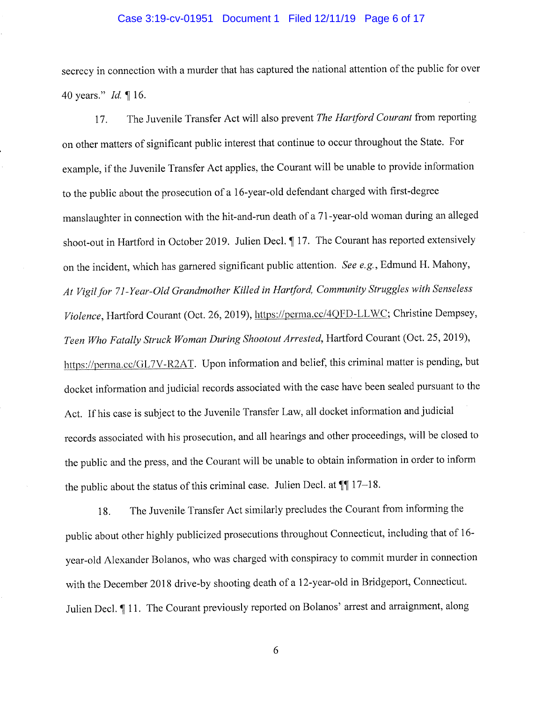#### Case 3:19-cv-01951 Document 1 Filed 12/11/19 Page 6 of 17

secrecy in connection with a murder that has captured the national attention of the public for over 40 years." Id. ¶ 16.

17. The Juvenile Transfer Act will also prevent The Hartford Courant from reporting <sup>o</sup><sup>n</sup>other matters of significant public interest that continue to occur throughout the State. For <sup>e</sup>xample, if the Juvenile Transfer Act applies, the Courant will be unable to provide information <sup>t</sup>o the public about the prosecution of a 16-year-old defendant charged with first-degree <sup>m</sup>anslaughter in connection with the hit-and-run death of a 71-year-old woman during an alleged <sup>s</sup>hoot-out in Hartford in October 2019. Julien Decl. ¶ 17. The Courant has reported extensively on the incident, which has garnered significant public attention. See e.g., Edmund H. Mahony, <sup>A</sup>t Vigil for 71-Year-Old Grandmother Killed in Hartford, Community Struggles with Senseless <sup>V</sup>iolence, Hartford Courant (Oct. 26, 2019), https://perma.cc/4QFD-LLWC; Christine Dempsey, <sup>T</sup>een Who Fatally Struck Woman During Shootout Arrested, Hartford Courant (Oct. 25, 2019), <sup>h</sup>ttps://penna.cc/GL7V-R2AT. Upon information and belief, this criminal matter is pending, but <sup>d</sup>ocket information and judicial records associated with the case have been sealed pursuant to the <sup>A</sup>ct. If his case is subject to the Juvenile Transfer Law, all docket information and judicial <sup>r</sup>ecords associated with his prosecution, and all hearings and other proceedings, will be closed to <sup>t</sup>he public and the press, and the Courant will be unable to obtain information in order to inform <sup>t</sup>he public about the status of this criminal case. Julien Decl. at ¶¶ 17-18.

<sup>1</sup>8. The Juvenile Transfer Act similarly precludes the Courant from informing the <sup>p</sup>ublic about other highly publicized prosecutions throughout Connecticut, including that of 16 year-old Alexander Bolanos, who was charged with conspiracy to commit murder in connection <sup>w</sup>ith the December 2018 drive-by shooting death of a 12-year-old in Bridgeport, Connecticut. Julien Decl. 11. The Courant previously reported on Bolanos' arrest and arraignment, along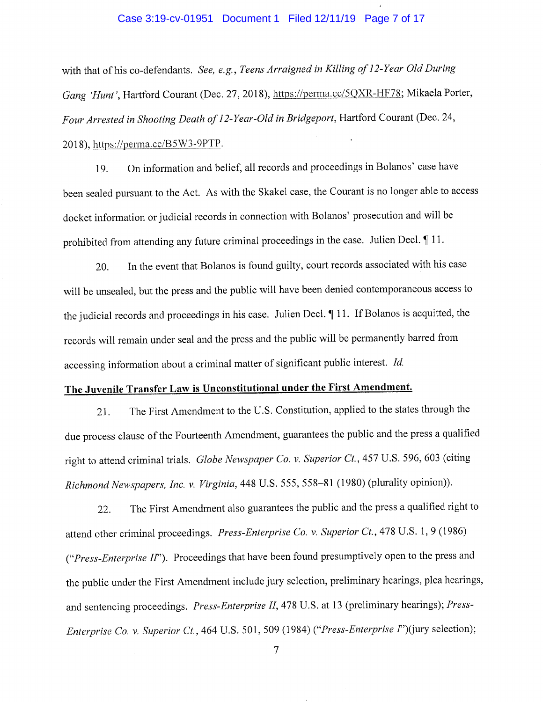#### Case 3:19-cv-01951 Document 1 Filed 12/11/19 Page 7 of 17

with that of his co-defendants. See, e.g., Teens Arraigned in Killing of 12-Year Old During <sup>G</sup>ang 'Hunt', Hartford Courant (Dec. 27, 2018), https://perma.cc/5QXR-11F78; Mikaela Porter, <sup>F</sup>our Arrested in Shooting Death of 12-Year-Old in Bridgeport, Hartford Courant (Dec. 24, 2018), https://perma.cc/B5W3-9PTP.

<sup>1</sup>9. On information and belief, all records and proceedings in Bolanos' case have <sup>b</sup>een sealed pursuant to the Act. As with the Skakel case, the Courant is no longer able to access <sup>d</sup>ocket information or judicial records in connection with Bolanos' prosecution and will be prohibited from attending any future criminal proceedings in the case. Julien Decl.  $\P$  11.

<sup>2</sup>0. In the event that Bolanos is found guilty, court records associated with his case <sup>w</sup>ill be unsealed, but the press and the public will have been denied contemporaneous access to <sup>t</sup>he judicial records and proceedings in his case. Julien Decl. ¶ 11. If Bolanos is acquitted, the <sup>r</sup>ecords will remain under seal and the press and the public will be permanently barred from <sup>a</sup>ccessing information about a criminal matter of significant public interest. Id.

# <sup>T</sup>he Juvenile Transfer Law is Unconstitutional under the First Amendment.

<sup>2</sup>1. The First Amendment to the U.S. Constitution, applied to the states through the <sup>d</sup>ue process clause of the Fourteenth Amendment, guarantees the public and the press <sup>a</sup>qualified right to attend criminal trials. Globe Newspaper Co. v. Superior Ct., 457 U.S. 596, 603 (citing <sup>R</sup>ichmond Newspapers, Inc. v. Virginia, 448 U.S. 555, 558-81 (1980) (plurality opinion)).

<sup>2</sup>2. The First Amendment also guarantees the public and the press <sup>a</sup>qualified right to <sup>a</sup>ttend other criminal proceedings. Press-Enterprise Co. v. Superior Ct., 478 U.S. 1, 9 (1986) ("Press-Enterprise II"). Proceedings that have been found presumptively open to the press and <sup>t</sup>he public under the First Amendment include jury selection, preliminary hearings, plea hearings, and sentencing proceedings. Press-Enterprise II, 478 U.S. at 13 (preliminary hearings); Press-Enterprise Co. v. Superior Ct., 464 U.S. 501, 509 (1984) ("Press-Enterprise f')(jury selection);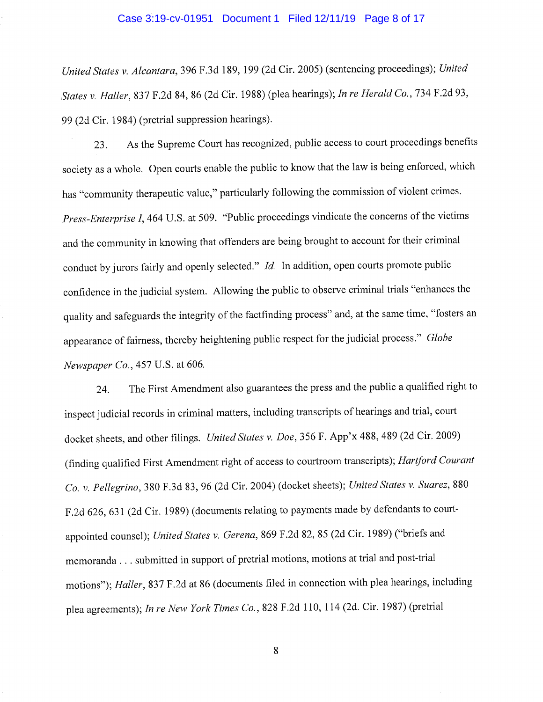#### Case 3:19-cv-01951 Document 1 Filed 12/11/19 Page 8 of 17

United States v. Alcantara, 396 F.3d 189, 199 (2d Cir. 2005) (sentencing proceedings); United States v. Haller, 837 F.2d 84, 86 (2d Cir. 1988) (plea hearings); In re Herald Co., 734 F.2d 93, <sup>9</sup>9 (2d Cir. 1984) (pretrial suppression hearings).

<sup>2</sup>3. As the Supreme Court has recognized, public access to court proceedings benefits <sup>s</sup>ociety as <sup>a</sup>whole. Open courts enable the public to know that the law is being enforced, which <sup>h</sup>as "community therapeutic value," particularly following the commission of violent crimes. <sup>P</sup>ress-Enterprise I, 464 U.S. at 509. "Public proceedings vindicate the concerns of the victims <sup>a</sup>nd the community in knowing that offenders are being brought to account for their criminal conduct by jurors fairly and openly selected." *Id.* In addition, open courts promote public <sup>c</sup>onfidence in the judicial system. Allowing the public to observe criminal trials "enhances the <sup>q</sup>uality and safeguards the integrity of the factfinding process" and, at the same time, "fosters an <sup>a</sup>ppearance of fairness, thereby heightening public respect for the judicial process." Globe <sup>N</sup>ewspaper Co., 457 U.S. at 606.

<sup>2</sup>4. The First Amendment also guarantees the press and the public a qualified right to <sup>i</sup>nspect judicial records in criminal matters, including transcripts of hearings and trial, court <sup>d</sup>ocket sheets, and other filings. United States v. Doe, 356 F. App'x 488, 489 (2d Cir. 2009) (finding qualified First Amendment right of access to courtroom transcripts); Hartford Courant <sup>C</sup>o. v. Pellegrino, 380 F.3d 83, 96 (2d Cir. 2004) (docket sheets); United States v. Suarez, <sup>880</sup> F.2d 626, 631 (2d Cir. 1989) (documents relating to payments made by defendants to courtappointed counsel); United States v. Gerena, 869 F.2d 82, 85 (2d Cir. 1989) ("briefs and <sup>m</sup>emoranda . . . submitted in support of pretrial motions, motions at trial and post-trial <sup>m</sup>otions"); Haller, 837 F.2d at 86 (documents filed in connection with plea hearings, including <sup>p</sup>lea agreements); In re New York Times Co., 828 F.2d 110, 114 (2d. Cir. 1987) (pretrial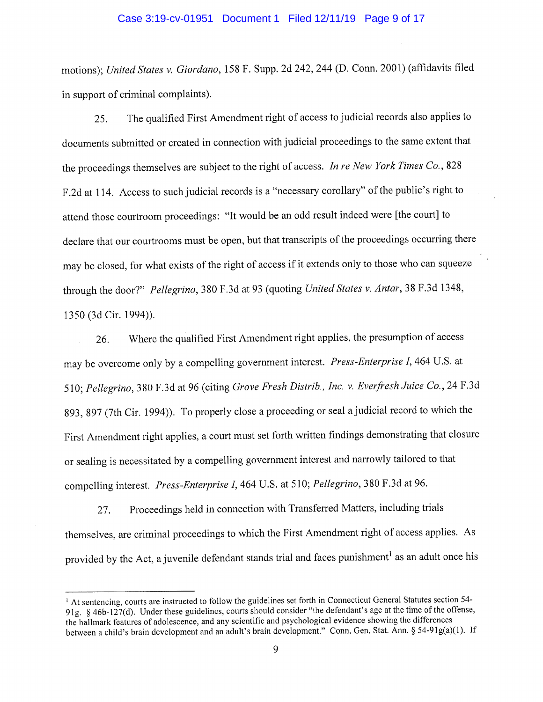#### Case 3:19-cv-01951 Document 1 Filed 12/11/19 Page 9 of 17

motions); United States v. Giordano, 158 F. Supp. 2d 242, 244 (D. Conn. 2001) (affidavits filed in support of criminal complaints).

<sup>2</sup>5. The qualified First Amendment right of access to judicial records also applies to documents submitted or created in connection with judicial proceedings to the same extent that the proceedings themselves are subject to the right of access. In re New York Times Co., 828 <sup>F</sup>.2d at 114. Access to such judicial records is a "necessary corollary" of the public's right to <sup>a</sup>ttend those courtroom proceedings: "It would be an odd result indeed were [the court] to <sup>d</sup>eclare that our courtrooms must be open, but that transcripts of the proceedings occurring there <sup>m</sup>ay be closed, for what exists of the right of access if it extends only to those who can squeeze <sup>t</sup>hrough the door?" Pellegrino, 380 F.3d at 93 (quoting United States v. Antar, 38 F.3d 1348, 1350 (3d Cir. 1994)).

<sup>2</sup>6. Where the qualified First Amendment right applies, the presumption of access <sup>m</sup>ay be overcome only by a compelling government interest. Press-Enterprise I, 464 U.S. at <sup>5</sup>10; Pellegrino, 380 F.3d at 96 (citing Grove Fresh Distrib., Inc. v. Everfresh Juice Co., 24 F.3d <sup>8</sup>93, 897 (7th Cir. 1994)). To properly close a proceeding or seal a judicial record to which the <sup>F</sup>irst Amendment right applies, a court must set forth written findings demonstrating that closure or sealing is necessitated by a compelling government interest and narrowly tailored to that <sup>c</sup>ompelling interest. Press-Enterprise I, 464 U.S. at 510; Pellegrino, 380 F.3d at 96.

<sup>2</sup>7. Proceedings held in connection with Transferred Matters, including trials <sup>t</sup>hemselves, are criminal proceedings to which the First Amendment right of access applies. As <sup>p</sup>rovided by the Act, a juvenile defendant stands trial and faces punishment' as an adult once his

<sup>&</sup>lt;sup>1</sup> At sentencing, courts are instructed to follow the guidelines set forth in Connecticut General Statutes section 54-91g. § 46b-127(d). Under these guidelines, courts should consider "the defendant's age at the time of the offense, <sup>t</sup>he hallmark features of adolescence, and any scientific and psychological evidence showing the differences <sup>b</sup>etween a child's brain development and an adult's brain development." Conn. Gen. Stat. Ann. § 54-91g(a)(1). If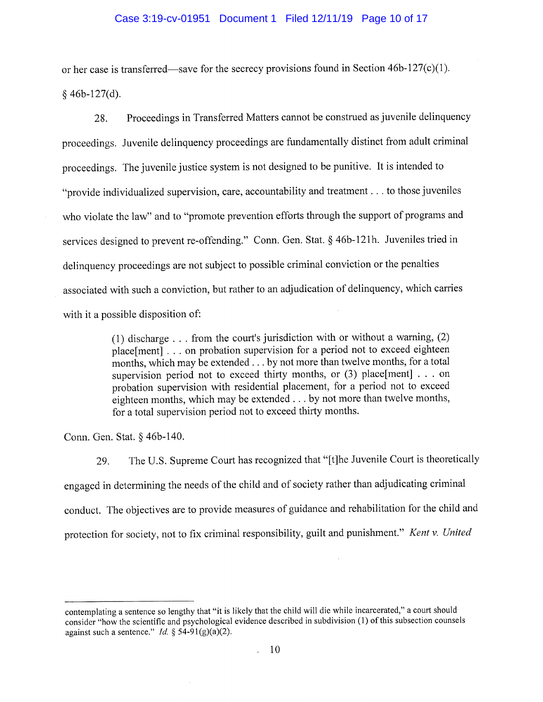#### Case 3:19-cv-01951 Document 1 Filed 12/11/19 Page 10 of 17

or her case is transferred—save for the secrecy provisions found in Section 46b-127(c)(1).  $§$  46b-127(d).

<sup>2</sup>8. Proceedings in Transferred Matters cannot be construed as juvenile delinquency <sup>p</sup>roceedings. Juvenile delinquency proceedings are fundamentally distinct from adult criminal <sup>p</sup>roceedings. The juvenile justice system is not designed to be punitive. It is intended to "provide individualized supervision, care, accountability and treatment . . . to those juveniles <sup>w</sup>ho violate the law" and to "promote prevention efforts through the support of programs and <sup>s</sup>ervices designed to prevent re-offending." Conn. Gen. Stat. § 46b-121h. Juveniles tried in <sup>d</sup>elinquency proceedings are not subject to possible criminal conviction or the penalties <sup>a</sup>ssociated with such a conviction, but rather to an adjudication of delinquency, which carries <sup>w</sup>ith it a possible disposition of:

> (1) discharge . . . from the court's jurisdiction with or without a warning, (2) <sup>p</sup>lace[ment] . . . on probation supervision for a period not to exceed eighteen <sup>m</sup>onths, which may be extended . . . by not more than twelve months, for a total supervision period not to exceed thirty months, or  $(3)$  place[ment] . . . on <sup>p</sup>robation supervision with residential placement, for a period not to exceed <sup>e</sup>ighteen months, which may be extended . . . by not more than twelve months, <sup>f</sup>or <sup>a</sup>total supervision period not to exceed thirty months.

Conn. Gen. Stat. § 46b-140.

<sup>2</sup>9. The U.S. Supreme Court has recognized that "[t]he Juvenile Court is theoretically <sup>e</sup>ngaged in determining the needs of the child and of society rather than adjudicating criminal <sup>c</sup>onduct. The objectives are to provide measures of guidance and rehabilitation for the child and <sup>p</sup>rotection for society, not to fix criminal responsibility, guilt and punishment." Kent v. United

<sup>c</sup>ontemplating a sentence so lengthy that "it is likely that the child will die while incarcerated," a court should <sup>c</sup>onsider "how the scientific and psychological evidence described in subdivision (1) of this subsection counsels against such a sentence." *Id.* § 54-91(g)(a)(2).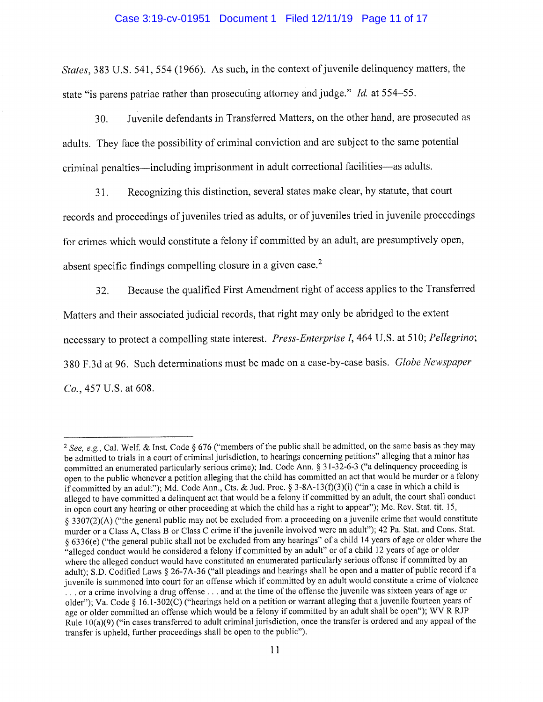#### Case 3:19-cv-01951 Document 1 Filed 12/11/19 Page 11 of 17

States, 383 U.S. 541, 554 (1966). As such, in the context of juvenile delinquency matters, the state "is parens patriae rather than prosecuting attorney and judge." Id. at 554-55.

30. Juvenile defendants in Transferred Matters, on the other hand, are prosecuted as <sup>a</sup>dults. They face the possibility of criminal conviction and are subject to the same potential criminal penalties—including imprisonment in adult correctional facilities—as adults.

<sup>3</sup>1. Recognizing this distinction, several states make clear, by statute, that court <sup>r</sup>ecords and proceedings of juveniles tried as adults, or of juveniles tried in juvenile proceedings for crimes which would constitute a felony if committed by an adult, are presumptively open, absent specific findings compelling closure in a given case.<sup>2</sup>

<sup>3</sup>2. Because the qualified First Amendment right of access applies to the Transferred <sup>M</sup>atters and their associated judicial records, that right may only be abridged to the extent necessary to protect a compelling state interest. *Press-Enterprise I*, 464 U.S. at 510; Pellegrino; 380 F.3d at 96. Such determinations must be made on a case-by-case basis. Globe Newspaper Co., 457 U.S. at 608.

<sup>&</sup>lt;sup>2</sup> See, e.g., Cal. Welf. & Inst. Code § 676 ("members of the public shall be admitted, on the same basis as they may <sup>b</sup>e admitted to trials in a court of criminal jurisdiction, to hearings concerning petitions" alleging that a minor has <sup>c</sup>ommitted an enumerated particularly serious crime); Ind. Code Ann. § 31-32-6-3 ("a delinquency proceeding is <sup>o</sup>pen to the public whenever a petition alleging that the child has committed an act that would be murder or <sup>a</sup>felony <sup>i</sup>f committed by an adult"); Md. Code Ann., Cts. & Jud. Proc. § 3-8A-13(f)(3)(i) ("in a case in which a child is <sup>a</sup>lleged to have committed a delinquent act that would be a felony if committed by an adult, the court shall conduct <sup>i</sup>n open court any hearing or other proceeding at which the child has a right to appear"); Me. Rev. Stat. tit. 15, § 3307(2)(A) ("the general public may not be excluded from a proceeding on <sup>a</sup>juvenile crime that would constitute <sup>m</sup>urder or a Class A, Class B or Class C crime if the juvenile involved were an adult"); 42 Pa. Stat. and Cons. Stat. §6336(e) ("the general public shall not be excluded from any hearings" of a child 14 years of age or older where the "alleged conduct would be considered a felony if committed by an adult" or of a child 12 years of age or older <sup>w</sup>here the alleged conduct would have constituted an enumerated particularly serious offense if committed by an <sup>a</sup>dult); S.D. Codified Laws § 26-7A-36 ("all pleadings and hearings shall be open and a matter of public record if <sup>a</sup> juvenile is summoned into court for an offense which if committed by an adult would constitute a crime of violence ... or a crime involving a drug offense ... and at the time of the offense the juvenile was sixteen years of age or <sup>o</sup>lder"); Va. Code § 16.1-302(C) ("hearings held on <sup>a</sup>petition or warrant alleging that a juvenile fourteen years of <sup>a</sup>ge or older committed an offense which would be a felony if committed by an adult shall be open"); WV R RJP <sup>R</sup>ule 10(a)(9) ("in cases transferred to adult criminal jurisdiction, once the transfer is ordered and any appeal of the <sup>t</sup>ransfer is upheld, further proceedings shall be open to the public").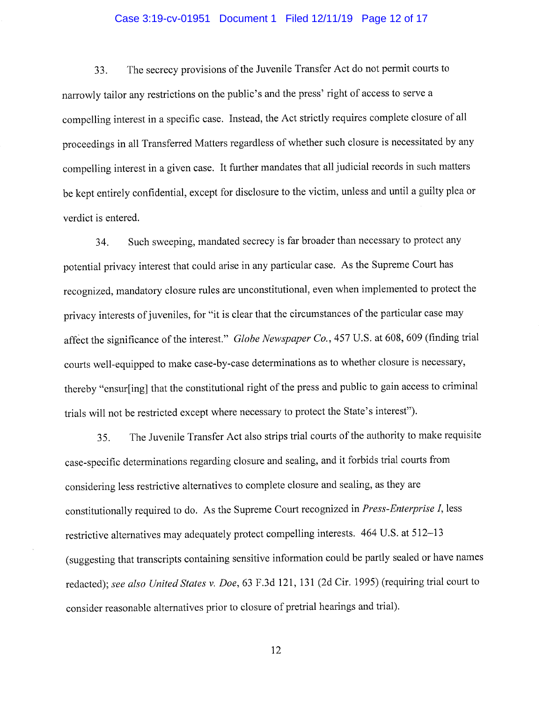#### Case 3:19-cv-01951 Document 1 Filed 12/11/19 Page 12 of 17

33. The secrecy provisions of the Juvenile Transfer Act do not permit courts to <sup>n</sup>arrowly tailor any restrictions on the public's and the press' right of access to serve <sup>a</sup> <sup>c</sup>ompelling interest in a specific case. Instead, the Act strictly requires complete closure of all <sup>p</sup>roceedings in all Transferred Matters regardless of whether such closure is necessitated by any <sup>c</sup>ompelling interest in a given case. It further mandates that all judicial records in such matters <sup>b</sup>e kept entirely confidential, except for disclosure to the victim, unless and until a guilty plea or <sup>v</sup>erdict is entered.

<sup>3</sup>4. Such sweeping, mandated secrecy is far broader than necessary to protect any <sup>p</sup>otential privacy interest that could arise in any particular case. As the Supreme Court has <sup>r</sup>ecognized, mandatory closure rules are unconstitutional, even when implemented to protect the <sup>p</sup>rivacy interests of juveniles, for "it is clear that the circumstances of the particular case may <sup>a</sup>ffect the significance of the interest." Globe Newspaper Co., 457 U.S. at 608, 609 (finding trial <sup>c</sup>ourts well-equipped to make case-by-case determinations as to whether closure is necessary, <sup>t</sup>hereby "ensur[ing] that the constitutional right of the press and public to gain access to criminal <sup>t</sup>rials will not be restricted except where necessary to protect the State's interest").

<sup>3</sup>5. The Juvenile Transfer Act also strips trial courts of the authority to make requisite <sup>c</sup>ase-specific determinations regarding closure and sealing, and it forbids trial courts from <sup>c</sup>onsidering less restrictive alternatives to complete closure and sealing, as they are <sup>c</sup>onstitutionally required to do. As the Supreme Court recognized in Press-Enterprise I, less <sup>r</sup>estrictive alternatives may adequately protect compelling interests. 464 U.S. at 512-13 (suggesting that transcripts containing sensitive information could be partly sealed or have names <sup>r</sup>edacted); see also United States v. Doe, 63 F.3d 121, 131 (2d Cir. 1995) (requiring trial court to <sup>c</sup>onsider reasonable alternatives prior to closure of pretrial hearings and trial).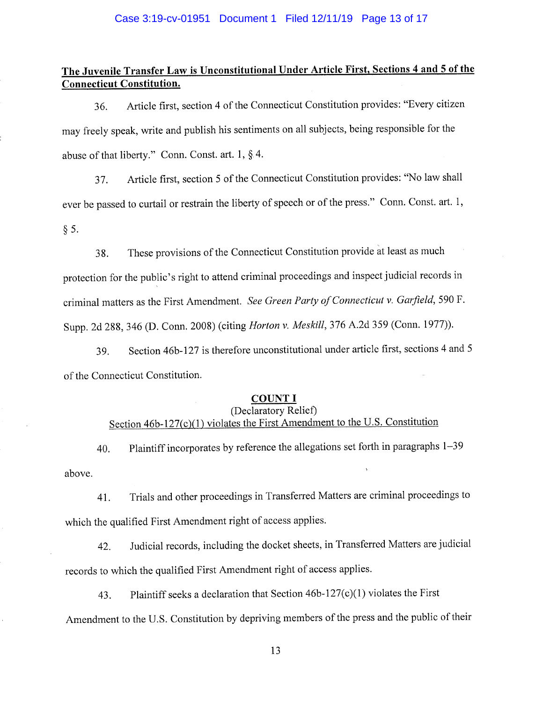# The Juvenile Transfer Law is Unconstitutional Under Article First, Sections 4 and 5 of the Connecticut Constitution.

<sup>3</sup>6. Article first, section 4 of the Connecticut Constitution provides: "Every citizen <sup>m</sup>ay freely speak, write and publish his sentiments on all subjects, being responsible for the <sup>a</sup>buse of that liberty." Conn. Const. art. 1, § 4.

<sup>3</sup>7. Article first, section 5 of the Connecticut Constitution provides: "No law shall <sup>e</sup>ver be passed to curtail or restrain the liberty of speech or of the press." Conn. Const. art. 1, § 5.

38. These provisions of the Connecticut Constitution provide at least as much <sup>p</sup>rotection for the public's right to attend criminal proceedings and inspect judicial records in criminal matters as the First Amendment. See Green Party of Connecticut v. Garfield, 590 F. <sup>S</sup>upp. 2d 288, 346 (D. Conn. 2008) (citing Horton v. Meskill, 376 A.2d 359 (Conn. 1977)).

<sup>3</sup>9. Section 46b-127 is therefore unconstitutional under article first, sections 4 and <sup>5</sup> <sup>o</sup>f the Connecticut Constitution.

#### COUNT I

# (Declaratory Relief) Section 46b-127(c)(1) violates the First Amendment to the U.S. Constitution

above. <sup>4</sup>0. Plaintiff incorporates by reference the allegations set forth in paragraphs 1-39

<sup>4</sup>1. Trials and other proceedings in Transferred Matters are criminal proceedings to <sup>w</sup>hich the qualified First Amendment right of access applies.

<sup>4</sup>2. Judicial records, including the docket sheets, in Transferred Matters are judicial <sup>r</sup>ecords to which the qualified First Amendment right of access applies.

<sup>4</sup>3. Plaintiff seeks a declaration that Section 46b-127(c)(1) violates the First <sup>A</sup>mendment to the U.S. Constitution by depriving members of the press and the public of their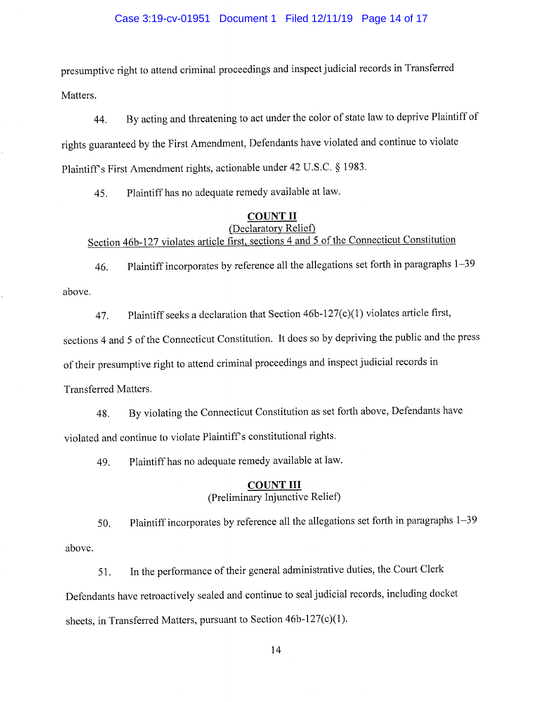#### Case 3:19-cv-01951 Document 1 Filed 12/11/19 Page 14 of 17

presumptive right to attend criminal proceedings and inspect judicial records in Transferred Matters.

<sup>4</sup>4. By acting and threatening to act under the color of state law to deprive Plaintiff of <sup>r</sup>ights guaranteed by the First Amendment, Defendants have violated and continue to violate <sup>P</sup>laintiff's First Amendment rights, actionable under 42 U.S.C. § 1983.

<sup>4</sup>5. Plaintiff has no adequate remedy available at law.

# COUNT II

# (Declaratory Relief) <sup>S</sup>ection 46b-127 violates article first, sections 4 and 5 of the Connecticut Constitution

<sup>4</sup>6. Plaintiff incorporates by reference all the allegations set forth in paragraphs 1-39 above.

47. Plaintiff seeks a declaration that Section 46b-127(c)(1) violates article first, <sup>s</sup>ections 4 and 5 of the Connecticut Constitution. It does so by depriving the public and the press <sup>o</sup>f their presumptive right to attend criminal proceedings and inspect judicial records in Transferred Matters.

<sup>4</sup>8. By violating the Connecticut Constitution as set forth above, Defendants have <sup>v</sup>iolated and continue to violate Plaintiff's constitutional rights.

<sup>4</sup>9. Plaintiff has no adequate remedy available at law.

#### COUNT III

# (Preliminary Injunctive Relief)

<sup>5</sup>0. Plaintiff incorporates by reference all the allegations set forth in paragraphs 1-39 above.

51. In the performance of their general administrative duties, the Court Clerk <sup>D</sup>efendants have retroactively sealed and continue to seal judicial records, including docket <sup>s</sup>heets, in Transferred Matters, pursuant to Section 46b-127(c)(1).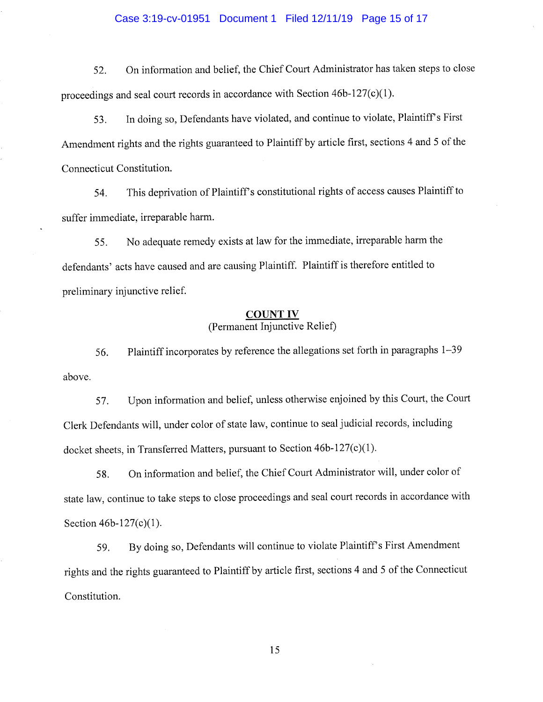#### Case 3:19-cv-01951 Document 1 Filed 12/11/19 Page 15 of 17

52. On information and belief, the Chief Court Administrator has taken steps to close <sup>p</sup>roceedings and seal court records in accordance with Section 46b-127(c)(1).

<sup>5</sup>3. In doing so, Defendants have violated, and continue to violate, Plaintiffs First <sup>A</sup>mendment rights and the rights guaranteed to Plaintiff by article first, sections 4 and 5 of the Connecticut Constitution.

<sup>5</sup>4. This deprivation of Plaintiff's constitutional rights of access causes Plaintiff to <sup>s</sup>uffer immediate, irreparable harm.

<sup>5</sup>5. No adequate remedy exists at law for the immediate, irreparable harm the <sup>d</sup>efendants' acts have caused and are causing Plaintiff. Plaintiff is therefore entitled to <sup>p</sup>reliminary injunctive relief.

#### COUNT IV (Permanent Injunctive Relief)

<sup>5</sup>6. Plaintiff incorporates by reference the allegations set forth in paragraphs 1-39 above.

57. Upon information and belief, unless otherwise enjoined by this Court, the Court <sup>C</sup>lerk Defendants will, under color of state law, continue to seal judicial records, including <sup>d</sup>ocket sheets, in Transferred Matters, pursuant to Section 46b-127(c)(1).

<sup>5</sup>8. On information and belief, the Chief Court Administrator will, under color of <sup>s</sup>tate law, continue to take steps to close proceedings and seal court records in accordance with Section 46b-127(c)(1).

59. By doing so, Defendants will continue to violate Plaintiff's First Amendment <sup>r</sup>ights and the rights guaranteed to Plaintiff by article first, sections 4 and 5 of the Connecticut Constitution.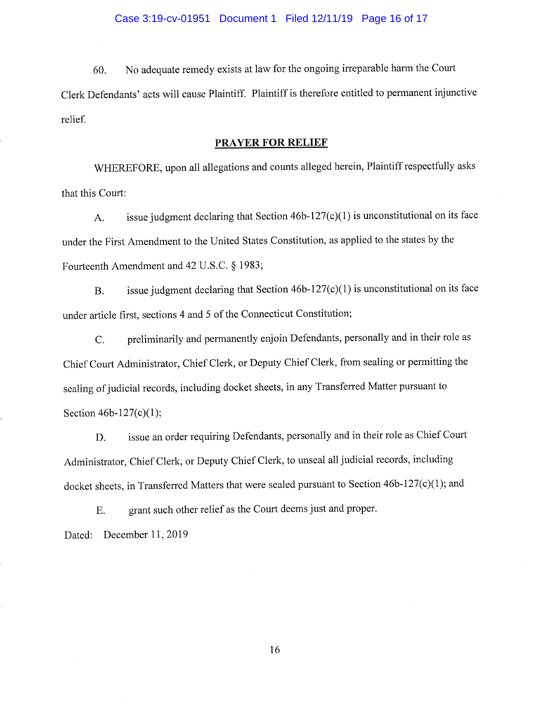60. No adequate remedy exists at law for the ongoing irreparable harm the Court Clerk Defendants' acts will cause Plaintiff. Plaintiff is therefore entitled to permanent injunctive <sup>r</sup>elief.

#### PRAYER FOR RELIEF

<sup>W</sup>HEREFORE, upon all allegations and counts alleged herein, Plaintiff respectfully asks that this Court:

<sup>A</sup>. issue judgment declaring that Section 46b-127(c)(1) is unconstitutional on its face <sup>u</sup>nder the First Amendment to the United States Constitution, as applied to the states by the Fourteenth Amendment and 42 U.S.C. § 1983;

<sup>B</sup>. issue judgment declaring that Section 46b-127(c)(1) is unconstitutional on its face <sup>u</sup>nder article first, sections 4 and 5 of the Connecticut Constitution;

<sup>C</sup>. preliminarily and permanently enjoin Defendants, personally and in their role as <sup>C</sup>hief Court Administrator, Chief Clerk, or Deputy Chief Clerk, from sealing or permitting the <sup>s</sup>ealing of judicial records, including docket sheets, in any Transferred Matter pursuant to Section 46b-127(c)(1);

<sup>D</sup>. issue an order requiring Defendants, personally and in their role as Chief Court <sup>A</sup>dministrator, Chief Clerk, or Deputy Chief Clerk, to unseal all judicial records, including <sup>d</sup>ocket sheets, in Transferred Matters that were sealed pursuant to Section 46b-127(c)(1); and

<sup>E</sup>. grant such other relief as the Court deems just and proper.

Dated: December 11, 2019